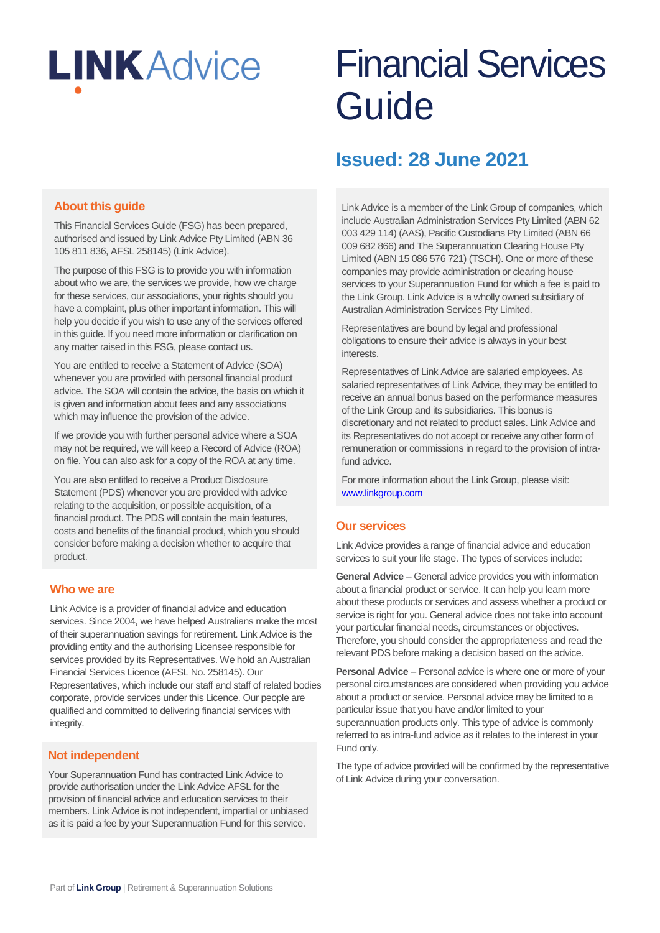# **LINKAdvice**

## Financial Services Guide

### **Issued: 28 June 2021**

#### **About this guide**

This Financial Services Guide (FSG) has been prepared, authorised and issued by Link Advice Pty Limited (ABN 36 105 811 836, AFSL 258145) (Link Advice).

The purpose of this FSG is to provide you with information about who we are, the services we provide, how we charge for these services, our associations, your rights should you have a complaint, plus other important information. This will help you decide if you wish to use any of the services offered in this guide. If you need more information or clarification on any matter raised in this FSG, please contact us.

You are entitled to receive a Statement of Advice (SOA) whenever you are provided with personal financial product advice. The SOA will contain the advice, the basis on which it is given and information about fees and any associations which may influence the provision of the advice.

If we provide you with further personal advice where a SOA may not be required, we will keep a Record of Advice (ROA) on file. You can also ask for a copy of the ROA at any time.

You are also entitled to receive a Product Disclosure Statement (PDS) whenever you are provided with advice relating to the acquisition, or possible acquisition, of a financial product. The PDS will contain the main features, costs and benefits of the financial product, which you should consider before making a decision whether to acquire that product.

#### **Who we are**

Link Advice is a provider of financial advice and education services. Since 2004, we have helped Australians make the most of their superannuation savings for retirement. Link Advice is the providing entity and the authorising Licensee responsible for services provided by its Representatives. We hold an Australian Financial Services Licence (AFSL No. 258145). Our Representatives, which include our staff and staff of related bodies corporate, provide services under this Licence. Our people are qualified and committed to delivering financial services with integrity.

#### **Not independent**

Your Superannuation Fund has contracted Link Advice to provide authorisation under the Link Advice AFSL for the provision of financial advice and education services to their members. Link Advice is not independent, impartial or unbiased as it is paid a fee by your Superannuation Fund for this service.

Link Advice is a member of the Link Group of companies, which include Australian Administration Services Pty Limited (ABN 62 003 429 114) (AAS), Pacific Custodians Pty Limited (ABN 66 009 682 866) and The Superannuation Clearing House Pty Limited (ABN 15 086 576 721) (TSCH). One or more of these companies may provide administration or clearing house services to your Superannuation Fund for which a fee is paid to the Link Group. Link Advice is a wholly owned subsidiary of Australian Administration Services Pty Limited.

Representatives are bound by legal and professional obligations to ensure their advice is always in your best **interests** 

Representatives of Link Advice are salaried employees. As salaried representatives of Link Advice, they may be entitled to receive an annual bonus based on the performance measures of the Link Group and its subsidiaries. This bonus is discretionary and not related to product sales. Link Advice and its Representatives do not accept or receive any other form of remuneration or commissions in regard to the provision of intrafund advice.

For more information about the Link Group, please visit: www.linkgroup.com

#### **Our services**

Link Advice provides a range of financial advice and education services to suit your life stage. The types of services include:

**General Advice** – General advice provides you with information about a financial product or service. It can help you learn more about these products or services and assess whether a product or service is right for you. General advice does not take into account your particular financial needs, circumstances or objectives. Therefore, you should consider the appropriateness and read the relevant PDS before making a decision based on the advice.

**Personal Advice** – Personal advice is where one or more of your personal circumstances are considered when providing you advice about a product or service. Personal advice may be limited to a particular issue that you have and/or limited to your superannuation products only. This type of advice is commonly referred to as intra-fund advice as it relates to the interest in your Fund only.

The type of advice provided will be confirmed by the representative of Link Advice during your conversation.